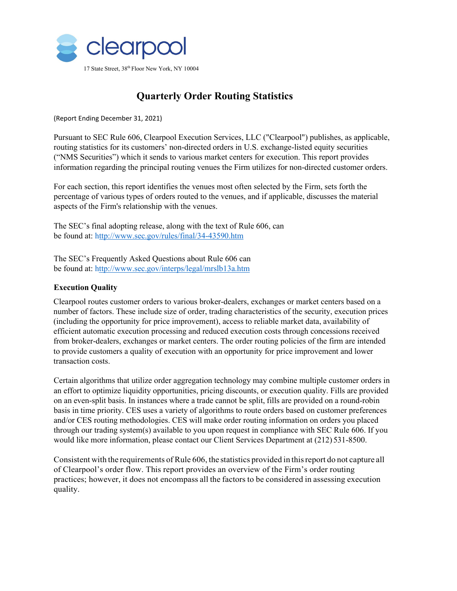

# **Quarterly Order Routing Statistics**

(Report Ending December 31, 2021)

Pursuant to SEC Rule 606, Clearpool Execution Services, LLC ("Clearpool") publishes, as applicable, routing statistics for its customers' non-directed orders in U.S. exchange-listed equity securities ("NMS Securities") which it sends to various market centers for execution. This report provides information regarding the principal routing venues the Firm utilizes for non-directed customer orders.

For each section, this report identifies the venues most often selected by the Firm, sets forth the percentage of various types of orders routed to the venues, and if applicable, discusses the material aspects of the Firm's relationship with the venues.

The SEC's final adopting release, along with the text of Rule 606, can be found at: http:/[/www.sec.gov/rules/final/34-43590.htm](http://www.sec.gov/rules/final/34-43590.htm)

The SEC's Frequently Asked Questions about Rule 606 can be found at: http:/[/www.sec.gov/interps/legal/mrslb13a.htm](http://www.sec.gov/interps/legal/mrslb13a.htm)

## **Execution Quality**

Clearpool routes customer orders to various broker-dealers, exchanges or market centers based on a number of factors. These include size of order, trading characteristics of the security, execution prices (including the opportunity for price improvement), access to reliable market data, availability of efficient automatic execution processing and reduced execution costs through concessions received from broker-dealers, exchanges or market centers. The order routing policies of the firm are intended to provide customers a quality of execution with an opportunity for price improvement and lower transaction costs.

Certain algorithms that utilize order aggregation technology may combine multiple customer orders in an effort to optimize liquidity opportunities, pricing discounts, or execution quality. Fills are provided on an even-split basis. In instances where a trade cannot be split, fills are provided on a round-robin basis in time priority. CES uses a variety of algorithms to route orders based on customer preferences and/or CES routing methodologies. CES will make order routing information on orders you placed through our trading system(s) available to you upon request in compliance with SEC Rule 606. If you would like more information, please contact our Client Services Department at (212) 531-8500.

Consistent with the requirements of Rule 606, the statistics provided in thisreport do not capture all of Clearpool's order flow. This report provides an overview of the Firm's order routing practices; however, it does not encompass all the factors to be considered in assessing execution quality.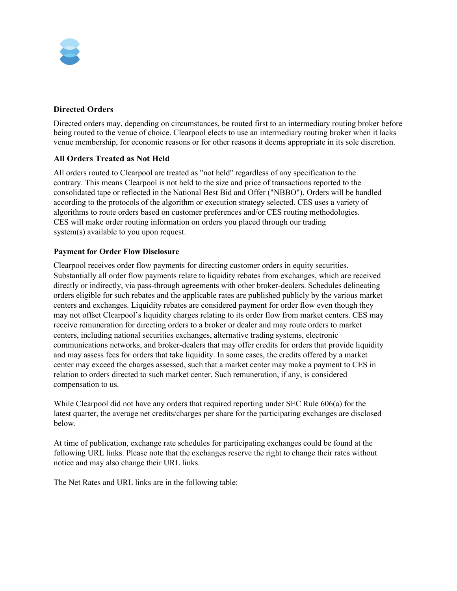

### **Directed Orders**

Directed orders may, depending on circumstances, be routed first to an intermediary routing broker before being routed to the venue of choice. Clearpool elects to use an intermediary routing broker when it lacks venue membership, for economic reasons or for other reasons it deems appropriate in its sole discretion.

## **All Orders Treated as Not Held**

All orders routed to Clearpool are treated as "not held" regardless of any specification to the contrary. This means Clearpool is not held to the size and price of transactions reported to the consolidated tape or reflected in the National Best Bid and Offer ("NBBO"). Orders will be handled according to the protocols of the algorithm or execution strategy selected. CES uses a variety of algorithms to route orders based on customer preferences and/or CES routing methodologies. CES will make order routing information on orders you placed through our trading system(s) available to you upon request.

### **Payment for Order Flow Disclosure**

Clearpool receives order flow payments for directing customer orders in equity securities. Substantially all order flow payments relate to liquidity rebates from exchanges, which are received directly or indirectly, via pass-through agreements with other broker-dealers. Schedules delineating orders eligible for such rebates and the applicable rates are published publicly by the various market centers and exchanges. Liquidity rebates are considered payment for order flow even though they may not offset Clearpool's liquidity charges relating to its order flow from market centers. CES may receive remuneration for directing orders to a broker or dealer and may route orders to market centers, including national securities exchanges, alternative trading systems, electronic communications networks, and broker-dealers that may offer credits for orders that provide liquidity and may assess fees for orders that take liquidity. In some cases, the credits offered by a market center may exceed the charges assessed, such that a market center may make a payment to CES in relation to orders directed to such market center. Such remuneration, if any, is considered compensation to us.

While Clearpool did not have any orders that required reporting under SEC Rule 606(a) for the latest quarter, the average net credits/charges per share for the participating exchanges are disclosed below.

At time of publication, exchange rate schedules for participating exchanges could be found at the following URL links. Please note that the exchanges reserve the right to change their rates without notice and may also change their URL links.

The Net Rates and URL links are in the following table: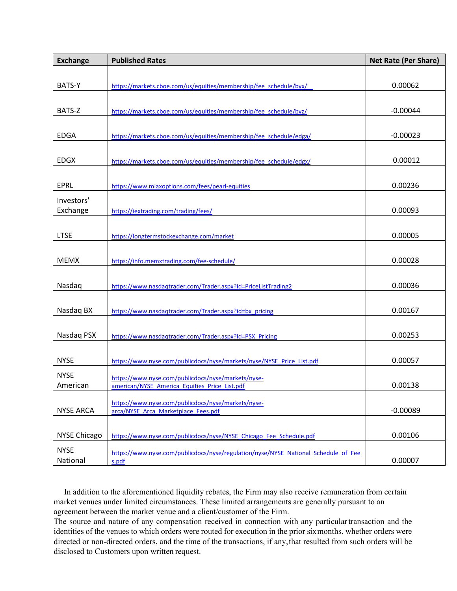| <b>Exchange</b>     | <b>Published Rates</b>                                                             | <b>Net Rate (Per Share)</b> |
|---------------------|------------------------------------------------------------------------------------|-----------------------------|
|                     |                                                                                    |                             |
| BATS-Y              | https://markets.cboe.com/us/equities/membership/fee_schedule/byx/                  | 0.00062                     |
|                     |                                                                                    |                             |
| BATS-Z              | https://markets.cboe.com/us/equities/membership/fee_schedule/byz/                  | $-0.00044$                  |
|                     |                                                                                    |                             |
| <b>EDGA</b>         | https://markets.cboe.com/us/equities/membership/fee_schedule/edga/                 | $-0.00023$                  |
|                     |                                                                                    |                             |
| <b>EDGX</b>         | https://markets.cboe.com/us/equities/membership/fee schedule/edgx/                 | 0.00012                     |
|                     |                                                                                    |                             |
| <b>EPRL</b>         | https://www.miaxoptions.com/fees/pearl-equities                                    | 0.00236                     |
| Investors'          |                                                                                    |                             |
| Exchange            | https://iextrading.com/trading/fees/                                               | 0.00093                     |
|                     |                                                                                    |                             |
| <b>LTSE</b>         | https://longtermstockexchange.com/market                                           | 0.00005                     |
|                     |                                                                                    |                             |
| <b>MEMX</b>         | https://info.memxtrading.com/fee-schedule/                                         | 0.00028                     |
|                     |                                                                                    |                             |
| Nasdaq              | https://www.nasdaqtrader.com/Trader.aspx?id=PriceListTrading2                      | 0.00036                     |
|                     |                                                                                    |                             |
| Nasdaq BX           | https://www.nasdaqtrader.com/Trader.aspx?id=bx pricing                             | 0.00167                     |
|                     |                                                                                    |                             |
| Nasdag PSX          | https://www.nasdagtrader.com/Trader.aspx?id=PSX_Pricing                            | 0.00253                     |
|                     |                                                                                    |                             |
| <b>NYSE</b>         | https://www.nyse.com/publicdocs/nyse/markets/nyse/NYSE_Price_List.pdf              | 0.00057                     |
| <b>NYSE</b>         | https://www.nyse.com/publicdocs/nyse/markets/nyse-                                 |                             |
| American            | american/NYSE America Equities Price List.pdf                                      | 0.00138                     |
|                     | https://www.nyse.com/publicdocs/nyse/markets/nyse-                                 |                             |
| <b>NYSE ARCA</b>    | arca/NYSE Arca Marketplace Fees.pdf                                                | $-0.00089$                  |
|                     |                                                                                    |                             |
| <b>NYSE Chicago</b> | https://www.nyse.com/publicdocs/nyse/NYSE Chicago Fee Schedule.pdf                 | 0.00106                     |
| <b>NYSE</b>         | https://www.nyse.com/publicdocs/nyse/regulation/nyse/NYSE National Schedule of Fee |                             |
| National            | s.pdf                                                                              | 0.00007                     |

 In addition to the aforementioned liquidity rebates, the Firm may also receive remuneration from certain market venues under limited circumstances. These limited arrangements are generally pursuant to an agreement between the market venue and a client/customer of the Firm.

The source and nature of any compensation received in connection with any particulartransaction and the identities of the venues to which orders were routed for execution in the prior sixmonths, whether orders were directed or non-directed orders, and the time of the transactions, if any,that resulted from such orders will be disclosed to Customers upon written request.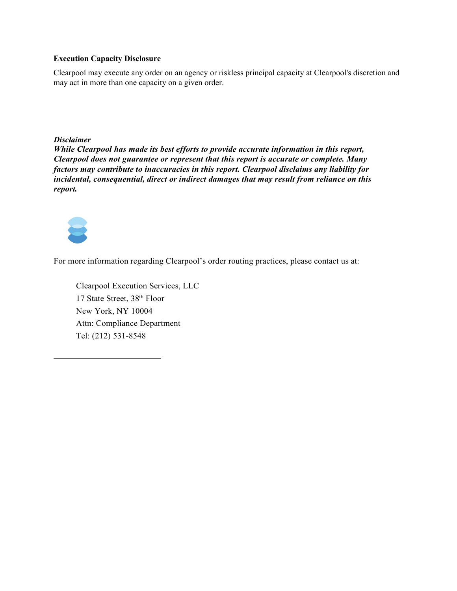### **Execution Capacity Disclosure**

Clearpool may execute any order on an agency or riskless principal capacity at Clearpool's discretion and may act in more than one capacity on a given order.

*Disclaimer*

*While Clearpool has made its best efforts to provide accurate information in this report, Clearpool does not guarantee or represent that this report is accurate or complete. Many factors may contribute to inaccuracies in this report. Clearpool disclaims any liability for incidental, consequential, direct or indirect damages that may result from reliance on this report.*



For more information regarding Clearpool's order routing practices, please contact us at:

Clearpool Execution Services, LLC 17 State Street, 38th Floor New York, NY 10004 Attn: Compliance Department Tel: (212) 531-8548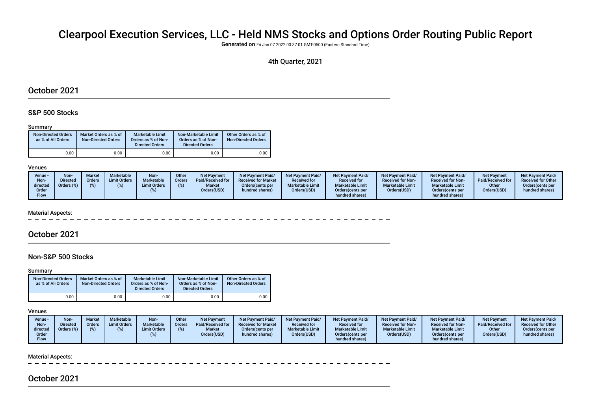# Clearpool Execution Services, LLC - Held NMS Stocks and Options Order Routing Public Report

Generated on Fri Jan 07 2022 03:37:01 GMT-0500 (Eastern Standard Time)

### 4th Quarter, 2021

### October 2021

### S&P 500 Stocks

#### Summary

| <b>Non-Directed Orders</b><br>as % of All Orders | Market Orders as % of<br><b>Non-Directed Orders</b> | Marketable Limit<br>Orders as % of Non-<br><b>Directed Orders</b> | Non-Marketable Limit<br>Orders as % of Non-<br><b>Directed Orders</b> | Other Orders as % of<br><b>Non-Directed Orders</b> |
|--------------------------------------------------|-----------------------------------------------------|-------------------------------------------------------------------|-----------------------------------------------------------------------|----------------------------------------------------|
| 0.00                                             | 0.00                                                | 0.00                                                              | 0.00                                                                  | 0.00                                               |

#### Venues

| Venue -<br>Non-<br>directed<br>Order<br>Flow | Non-<br><b>Directed</b><br>Orders (%) | <b>Market</b><br><b>Orders</b> | Marketable<br><b>Limit Orders</b> | Non-<br>Marketable<br><b>Limit Orders</b> | Other<br>Orders | Net Payment<br>Paid/Received for<br><b>Market</b><br>Orders(USD) | <b>Net Payment Paid/</b><br><b>Received for Market</b><br>Orders (cents per<br>hundred shares) | <b>Net Payment Paid/</b><br><b>Received for</b><br><b>Marketable Limit</b><br>Orders(USD) | <b>Net Payment Paid/</b><br><b>Received for</b><br><b>Marketable Limit</b><br>Orders (cents per<br>hundred shares) | Net Payment Paid/<br><b>Received for Non-</b><br><b>Marketable Limit</b><br>Orders(USD) | <b>Net Payment Paid/</b><br><b>Received for Non-</b><br><b>Marketable Limit</b><br>Orders (cents per<br>hundred shares) | <b>Net Payment</b><br>Paid/Received for<br>Other<br>Orders(USD) | <b>Net Payment Paid/</b><br><b>Received for Other</b><br>Orders cents per<br>hundred shares) |
|----------------------------------------------|---------------------------------------|--------------------------------|-----------------------------------|-------------------------------------------|-----------------|------------------------------------------------------------------|------------------------------------------------------------------------------------------------|-------------------------------------------------------------------------------------------|--------------------------------------------------------------------------------------------------------------------|-----------------------------------------------------------------------------------------|-------------------------------------------------------------------------------------------------------------------------|-----------------------------------------------------------------|----------------------------------------------------------------------------------------------|
|----------------------------------------------|---------------------------------------|--------------------------------|-----------------------------------|-------------------------------------------|-----------------|------------------------------------------------------------------|------------------------------------------------------------------------------------------------|-------------------------------------------------------------------------------------------|--------------------------------------------------------------------------------------------------------------------|-----------------------------------------------------------------------------------------|-------------------------------------------------------------------------------------------------------------------------|-----------------------------------------------------------------|----------------------------------------------------------------------------------------------|

#### Material Aspects:

### October 2021

### Non-S&P 500 Stocks

#### Summary

| <b>Non-Directed Orders</b><br>as % of All Orders | Market Orders as % of<br><b>Non-Directed Orders</b> | Marketable Limit<br>Orders as % of Non-<br><b>Directed Orders</b> | Non-Marketable Limit<br>Orders as % of Non-<br><b>Directed Orders</b> | Other Orders as % of<br><b>Non-Directed Orders</b> |
|--------------------------------------------------|-----------------------------------------------------|-------------------------------------------------------------------|-----------------------------------------------------------------------|----------------------------------------------------|
| 0.00                                             | 0.00                                                | 0.00                                                              | 0.00                                                                  | 0.00                                               |

#### Venues

| Venue -<br>Non-<br>directed | <b>Non-</b><br>Directed | <b>Market</b><br>Orders<br>$\%$ | Marketable<br><b>Limit Orders</b> | Non-<br>Marketable<br><b>Limit Orders</b> | Other<br><b>Orders</b> | <b>Net Payment</b><br>Paid/Received for<br><b>Market</b> | <b>Net Payment Paid/</b><br><b>Received for Market</b><br>Orders (cents per | Net Payment Paid/<br><b>Received for</b><br><b>Marketable Limit</b> | Net Payment Paid/<br><b>Received for</b><br><b>Marketable Limit</b> | Net Payment Paid/<br><b>Received for Non-</b><br><b>Marketable Limit</b> | <b>Net Payment Paid/</b><br><b>Received for Non-</b><br><b>Marketable Limit</b> | <b>Net Payment</b><br>Paid/Received for<br>Other | <b>Net Payment Paid/</b><br><b>Received for Other</b><br>Orders(cents per |
|-----------------------------|-------------------------|---------------------------------|-----------------------------------|-------------------------------------------|------------------------|----------------------------------------------------------|-----------------------------------------------------------------------------|---------------------------------------------------------------------|---------------------------------------------------------------------|--------------------------------------------------------------------------|---------------------------------------------------------------------------------|--------------------------------------------------|---------------------------------------------------------------------------|
| Order<br>Flow               |                         |                                 |                                   |                                           |                        | Orders(USD)                                              | hundred shares)                                                             | Orders(USD)                                                         | Orders (cents per<br>hundred shares)                                | Orders(USD)                                                              | Orders (cents per<br>hundred shares)                                            | Orders(USD)                                      | hundred shares)                                                           |

#### Material Aspects:

# October 2021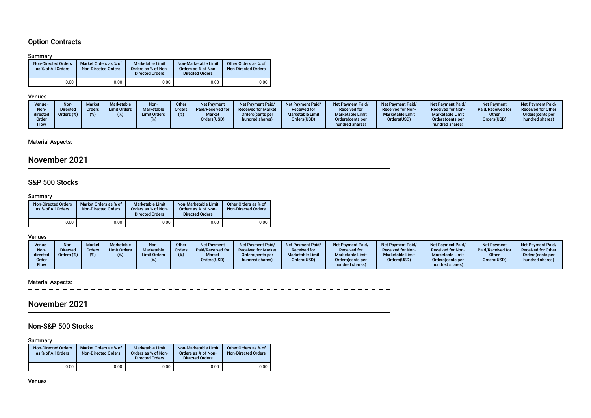# Option Contracts

#### Summary

| <b>Non-Directed Orders</b><br>as % of All Orders | Market Orders as % of<br><b>Non-Directed Orders</b> | <b>Marketable Limit</b><br>Orders as % of Non-<br><b>Directed Orders</b> | Non-Marketable Limit<br>Orders as % of Non-<br><b>Directed Orders</b> | Other Orders as % of<br><b>Non-Directed Orders</b> |
|--------------------------------------------------|-----------------------------------------------------|--------------------------------------------------------------------------|-----------------------------------------------------------------------|----------------------------------------------------|
| 0.00                                             | 0.00                                                | 0.00                                                                     | 0.00                                                                  | 0.00                                               |

#### Venues

| hundred shares)<br>hundred shares)<br>Flow | Non-<br>directed<br>Order | Marketable<br><b>Limit Orders</b><br>)irected<br>Orders<br>Jrders (%)<br><b>Limit Orders</b> | <b>Orders</b> | <b>Received for Market</b><br>Paid/Received for<br><b>Market</b><br>Orders (cents per<br>Orders(USD)<br>hundred shares) | <b>Received for</b><br><b>Marketable Limit</b><br>Orders(USD) | <b>Received for</b><br><b>Marketable Limit</b><br>Orders (cents per | <b>Received for Non-</b><br><b>Marketable Limit</b><br>Orders(USD) | <b>Received for Non-</b><br><b>Marketable Limit</b><br>Orders(cents per | Paid/Received for<br>Other<br>Orders(USD) | <b>Received for Other</b><br>Orders (cents per<br>hundred shares) |
|--------------------------------------------|---------------------------|----------------------------------------------------------------------------------------------|---------------|-------------------------------------------------------------------------------------------------------------------------|---------------------------------------------------------------|---------------------------------------------------------------------|--------------------------------------------------------------------|-------------------------------------------------------------------------|-------------------------------------------|-------------------------------------------------------------------|
|--------------------------------------------|---------------------------|----------------------------------------------------------------------------------------------|---------------|-------------------------------------------------------------------------------------------------------------------------|---------------------------------------------------------------|---------------------------------------------------------------------|--------------------------------------------------------------------|-------------------------------------------------------------------------|-------------------------------------------|-------------------------------------------------------------------|

# Material Aspects:

# November 2021

### S&P 500 Stocks

#### Summary

| <b>Non-Directed Orders</b><br>as % of All Orders | Market Orders as % of<br><b>Non-Directed Orders</b> | <b>Marketable Limit</b><br>Orders as % of Non-<br><b>Directed Orders</b> | Non-Marketable Limit<br>Orders as % of Non-<br><b>Directed Orders</b> | Other Orders as % of<br><b>Non-Directed Orders</b> |
|--------------------------------------------------|-----------------------------------------------------|--------------------------------------------------------------------------|-----------------------------------------------------------------------|----------------------------------------------------|
| 0.00                                             | 0.00                                                | 0.00                                                                     | 0.00                                                                  | 0.00                                               |

### Venues

| Venue -<br>Non-<br>directed<br>Order<br>Flow | Non-<br>Directed<br>Orders (%) | <b>Market</b><br><b>Orders</b> | Marketable<br><b>Limit Orders</b> | Non-<br><b>Marketable</b><br><b>Limit Orders</b> | Other<br>Orders | <b>Net Payment</b><br>Paid/Received for<br><b>Market</b><br>Orders(USD) | Net Payment Paid/<br><b>Received for Market</b><br>Orders (cents per<br>hundred shares) | Net Payment Paid/<br><b>Received for</b><br><b>Marketable Limit</b><br>Orders(USD) | <b>Net Payment Paid/</b><br><b>Received for</b><br><b>Marketable Limit</b><br>Orders(cents per<br>hundred shares) | Net Payment Paid/<br><b>Received for Non-</b><br><b>Marketable Limit</b><br>Orders(USD) | Net Payment Paid/<br><b>Received for Non-</b><br><b>Marketable Limit</b><br>Orders(cents per<br>hundred shares) | <b>Net Payment</b><br>Paid/Received for<br>Other<br>Orders(USD) | <b>Net Payment Paid/</b><br><b>Received for Other</b><br>Orders(cents per<br>hundred shares) |
|----------------------------------------------|--------------------------------|--------------------------------|-----------------------------------|--------------------------------------------------|-----------------|-------------------------------------------------------------------------|-----------------------------------------------------------------------------------------|------------------------------------------------------------------------------------|-------------------------------------------------------------------------------------------------------------------|-----------------------------------------------------------------------------------------|-----------------------------------------------------------------------------------------------------------------|-----------------------------------------------------------------|----------------------------------------------------------------------------------------------|
|----------------------------------------------|--------------------------------|--------------------------------|-----------------------------------|--------------------------------------------------|-----------------|-------------------------------------------------------------------------|-----------------------------------------------------------------------------------------|------------------------------------------------------------------------------------|-------------------------------------------------------------------------------------------------------------------|-----------------------------------------------------------------------------------------|-----------------------------------------------------------------------------------------------------------------|-----------------------------------------------------------------|----------------------------------------------------------------------------------------------|

# Material Aspects:<br> $= -$

 $\overline{a}$ 

# November 2021

### Non-S&P 500 Stocks

Summary

| <b>Non-Directed Orders</b><br>as % of All Orders | Market Orders as % of<br><b>Non-Directed Orders</b> | <b>Marketable Limit</b><br>Orders as % of Non-<br><b>Directed Orders</b> | Non-Marketable Limit<br>Orders as % of Non-<br><b>Directed Orders</b> | Other Orders as % of<br><b>Non-Directed Orders</b> |
|--------------------------------------------------|-----------------------------------------------------|--------------------------------------------------------------------------|-----------------------------------------------------------------------|----------------------------------------------------|
| 0.00                                             | 0.00                                                | 0.00                                                                     | 0.00                                                                  | 0.00                                               |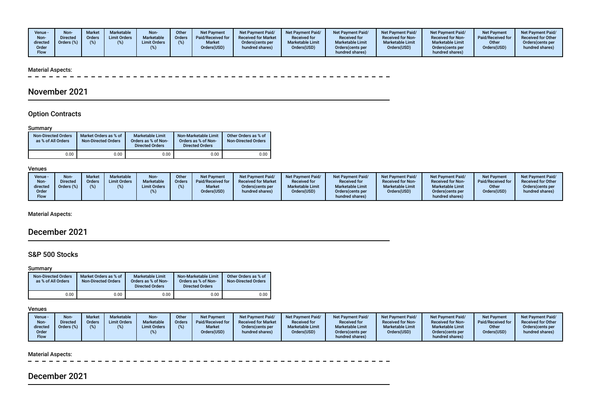| Venue -<br>Non-<br>directed<br>Order<br><b>Flow</b> | <b>Non</b><br><b>Directed</b><br>Orders (%) | <b>Market</b><br><b>Orders</b><br>(96) | Marketable<br><b>Limit Orders</b> | Non-<br>Marketable<br><b>Limit Orders</b> | Other<br><b>Orders</b> | <b>Net Payment</b><br>Paid/Received for<br><b>Market</b><br>Orders(USD) | <b>Net Payment Paid/</b><br><b>Received for Market</b><br>Orders (cents per<br>hundred shares) | Net Payment Paid/<br><b>Received for</b><br><b>Marketable Limit</b><br>Orders(USD) | <b>Net Payment Paid/</b><br><b>Received for</b><br><b>Marketable Limit</b><br>Orders(cents per<br>hundred shares) | <b>Net Payment Paid/</b><br><b>Received for Non-</b><br><b>Marketable Limit</b><br>Orders(USD) | <b>Net Payment Paid/</b><br><b>Received for Non-</b><br><b>Marketable Limit</b><br>Orders(cents per<br>hundred shares) | <b>Net Payment</b><br>Paid/Received for<br>Other<br>Orders(USD) | <b>Net Payment Paid/</b><br><b>Received for Other</b><br>Orders(cents per<br>hundred shares) |
|-----------------------------------------------------|---------------------------------------------|----------------------------------------|-----------------------------------|-------------------------------------------|------------------------|-------------------------------------------------------------------------|------------------------------------------------------------------------------------------------|------------------------------------------------------------------------------------|-------------------------------------------------------------------------------------------------------------------|------------------------------------------------------------------------------------------------|------------------------------------------------------------------------------------------------------------------------|-----------------------------------------------------------------|----------------------------------------------------------------------------------------------|
|-----------------------------------------------------|---------------------------------------------|----------------------------------------|-----------------------------------|-------------------------------------------|------------------------|-------------------------------------------------------------------------|------------------------------------------------------------------------------------------------|------------------------------------------------------------------------------------|-------------------------------------------------------------------------------------------------------------------|------------------------------------------------------------------------------------------------|------------------------------------------------------------------------------------------------------------------------|-----------------------------------------------------------------|----------------------------------------------------------------------------------------------|

#### Material Aspects:

 $\sim$   $\sim$ 

# November 2021

### Option Contracts

### Summary

| <b>Non-Directed Orders</b><br>as % of All Orders | Market Orders as % of<br><b>Non-Directed Orders</b> | Marketable Limit<br>Orders as % of Non-<br><b>Directed Orders</b> | Non-Marketable Limit<br>Orders as % of Non-<br><b>Directed Orders</b> | Other Orders as % of<br><b>Non-Directed Orders</b> |
|--------------------------------------------------|-----------------------------------------------------|-------------------------------------------------------------------|-----------------------------------------------------------------------|----------------------------------------------------|
| 0.00                                             | 00.כ                                                | 0.00                                                              | 0.00                                                                  | 0.00                                               |

#### Venues

| Venue -<br>Non-<br>directed<br>Order | <b>Non-</b><br><b>Directed</b><br>Orders (%) | <b>Market</b><br><b>Orders</b> | Marketable<br><b>Limit Orders</b> | Non-<br>Marketable<br><b>Limit Orders</b> | Other<br><b>Orders</b> | <b>Net Payment</b><br>Paid/Received for<br><b>Market</b><br>Orders(USD) | <b>Net Payment Paid/</b><br><b>Received for Market</b><br>Orders(cents per<br>hundred shares) | <b>Net Payment Paid/</b><br><b>Received for</b><br><b>Marketable Limit</b><br>Orders(USD) | <b>Net Payment Paid/</b><br><b>Received for</b><br><b>Marketable Limit</b><br>Orders (cents per | Net Payment Paid/<br><b>Received for Non-</b><br><b>Marketable Limit</b><br>Orders(USD) | <b>Net Payment Paid/</b><br><b>Received for Non-</b><br><b>Marketable Limit</b><br>Orders(cents per | <b>Net Payment</b><br>Paid/Received for<br>Other<br>Orders(USD) | <b>Net Payment Paid/</b><br><b>Received for Other</b><br>Orders(cents per<br>hundred shares) |
|--------------------------------------|----------------------------------------------|--------------------------------|-----------------------------------|-------------------------------------------|------------------------|-------------------------------------------------------------------------|-----------------------------------------------------------------------------------------------|-------------------------------------------------------------------------------------------|-------------------------------------------------------------------------------------------------|-----------------------------------------------------------------------------------------|-----------------------------------------------------------------------------------------------------|-----------------------------------------------------------------|----------------------------------------------------------------------------------------------|
| Flow                                 |                                              |                                |                                   |                                           |                        |                                                                         |                                                                                               |                                                                                           | hundred shares)                                                                                 |                                                                                         | hundred shares)                                                                                     |                                                                 |                                                                                              |

Material Aspects:

# December 2021

### S&P 500 Stocks

#### Summary

| <b>Non-Directed Orders</b><br>as % of All Orders |          | Market Orders as % of<br><b>Non-Directed Orders</b> | <b>Marketable Limit</b><br>Orders as % of Non-<br><b>Directed Orders</b> | Non-Marketable Limit<br>Orders as % of Non-<br><b>Directed Orders</b> | Other Orders as % of<br><b>Non-Directed Orders</b> |
|--------------------------------------------------|----------|-----------------------------------------------------|--------------------------------------------------------------------------|-----------------------------------------------------------------------|----------------------------------------------------|
|                                                  | $0.00\,$ | 0.00                                                | 0.00                                                                     | 0.00                                                                  | 0.00                                               |

### Venues

| Venue -<br>Non-<br>directed<br>Order<br>Flow | Nlon<br>)irected<br>$Jrders (\%)$ | Market<br>Orders | <b>Marketable</b><br><b>Limit Orders</b> | Non-<br>Marketable<br><b>Limit Orders</b> | <b>Other</b><br>Orders | <b>Net Payment</b><br>Paid/Received for<br><b>Market</b><br>Orders(USD) | <b>Net Payment Paid/</b><br><b>Received for Market</b><br>Orders (cents per<br>hundred shares) | <b>Net Payment Paid/</b><br><b>Received for</b><br><b>Marketable Limit</b><br>Orders(USD) | <b>Net Payment Paid/</b><br><b>Received for</b><br><b>Marketable Limit</b><br>Orders(cents per<br>hundred shares) | <b>Net Payment Paid/</b><br><b>Received for Non-</b><br><b>Marketable Limit</b><br>Orders(USD) | <b>Net Payment Paid/</b><br><b>Received for Non-</b><br><b>Marketable Limit</b><br>Orders(cents per<br>hundred shares) | <b>Net Payment</b><br>Paid/Received for<br>Other<br>Orders(USD) | <b>Net Payment Paid/</b><br><b>Received for Other</b><br>Orders(cents per<br>hundred shares) |
|----------------------------------------------|-----------------------------------|------------------|------------------------------------------|-------------------------------------------|------------------------|-------------------------------------------------------------------------|------------------------------------------------------------------------------------------------|-------------------------------------------------------------------------------------------|-------------------------------------------------------------------------------------------------------------------|------------------------------------------------------------------------------------------------|------------------------------------------------------------------------------------------------------------------------|-----------------------------------------------------------------|----------------------------------------------------------------------------------------------|
|----------------------------------------------|-----------------------------------|------------------|------------------------------------------|-------------------------------------------|------------------------|-------------------------------------------------------------------------|------------------------------------------------------------------------------------------------|-------------------------------------------------------------------------------------------|-------------------------------------------------------------------------------------------------------------------|------------------------------------------------------------------------------------------------|------------------------------------------------------------------------------------------------------------------------|-----------------------------------------------------------------|----------------------------------------------------------------------------------------------|

#### Material Aspects:

 $\sim$ ----------------- $\sim$ 

# December 2021